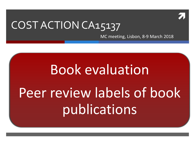

#### COST ACTION CA15137

MC meeting, Lisbon, 8-9 March 2018

# Book evaluation Peer review labels of book publications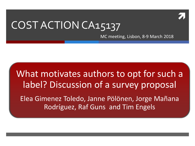

#### COST ACTION CA15137

MC meeting, Lisbon, 8-9 March 2018

#### What motivates authors to opt for such a label? Discussion of a survey proposal

Elea Gimenez Toledo, Janne Pölönen, Jorge Mañana Rodríguez, Raf Guns and Tim Engels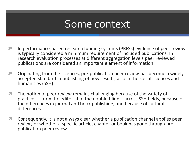#### Some context

- **In performance-based research funding systems (PRFSs) evidence of peer review** is typically considered a minimum requirement of included publications. In research evaluation processes at different aggregation levels peer reviewed publications are considered an important element of information.
- **T** Originating from the sciences, pre-publication peer review has become a widely accepted standard in publishing of new results, also in the social sciences and humanities (SSH).
- **The notion of peer review remains challenging because of the variety of** practices – from the editorial to the double-blind – across SSH fields, because of the differences in journal and book publishing, and because of cultural differences.
- **T** Consequently, it is not always clear whether a publication channel applies peer review, or whether a specific article, chapter or book has gone through pre- publication peer review.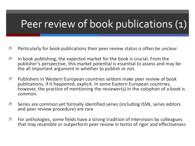#### Peer review of book publications (1)

- **T** Particularly for book publications their peer review status is often be unclear
- $\blacktriangledown$  In book publishing, the expected market for the book is crucial. From the publisher's perspective, this market potential is essential to assess and may be the all important argument in whether to publish or not.
- **The Publishers in Western European countries seldom make peer review of book** publications, if it happened, explicit. In some Eastern European countries, however, the practice of mentioning the reviewer(s) in the colophon of a book is common.
- **T** Series are common yet formally identified series (including ISSN, series editors and peer review procedure) are rare
- **T** For anthologies, some fields have a strong tradition of intervision by colleagues that may resemble or outperform peer review in terms of rigor and effectiveness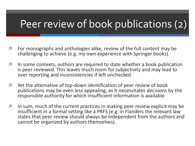#### Peer review of book publications (2)

- **T** For monographs and anthologies alike, review of the full content may be challenging to achieve (e.g. my own experience with Springer books).
- **I** In some contexts, authors are required to state whether a book publication is peer reviewed. This leaves much room for subjectivity and may lead to over reporting and inconsistencies if left unchecked
- **T** Yet the alternative of top-down identification of peer review of book publications may be even less appealing, as it necessitates decisions by the responsible authority for which insufficient information is available
- **I** In sum, much of the current practices in making peer review explicit may be insufficient in a formal setting like a PRFS (e.g. in Flanders the relevant law states that peer review should always be independent from the authors and cannot be organized by authors themselves).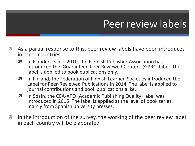#### Peer review labels

- As a partial response to this, peer review labels have been introduces in three countries:
	- **7** In Flanders, since 2010, the Flemish Publisher Association has introduced the 'Guaranteed Peer Reviewed Content (GPRC) label. The label is applied to book publications only.
	- **7** In Finland, the Federation of Finnish Learned Societies introduced the Label for Peer-Reviewed Publications in 2014. The label is applied to journal contributions and book publications alike.
	- **7** In Spain, the CEA-APQ (Academic Publishing Quality) label was introduced in 2016. The label is applied at the level of book series, mainly from Spanish university presses.
- **I** In the introduction of the survey, the working of the peer review label in each country will be elaborated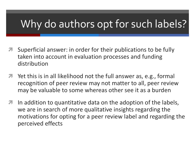#### Why do authors opt for such labels?

- Superficial answer: in order for their publications to be fully taken into account in evaluation processes and funding distribution
- Yet this is in all likelihood not the full answer as, e.g., formal recognition of peer review may not matter to all, peer review may be valuable to some whereas other see it as a burden
- **I** In addition to quantitative data on the adoption of the labels, we are in search of more qualitative insights regarding the motivations for opting for a peer review label and regarding the perceived effects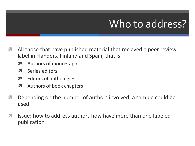#### Who to address?

- All those that have published material that recieved a peer review label in Flanders, Finland and Spain, that is
	- **A** Authors of monographs
	- **7** Series editors
	- **7** Editors of anthologies
	- **A** Authors of book chapters
- **7** Depending on the number of authors involved, a sample could be used
- $\pi$  Issue: how to address authors how have more than one labeled publication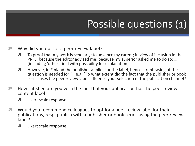## Possible questions (1)

#### **T** Why did you opt for a peer review label?

- $\lambda$  To proof that my work is scholarly; to advance my career; in view of inclusion in the PRFS; because the editor advised me; because my superior asked me to do so; … (including 'other' field with possibility for explanation)
- **H** However, in Finland the publisher applies for the label, hence a rephrasing of the question is needed for FI, e.g. "To what extent did the fact that the publisher or book series uses the peer review label influence your selection of the publication channel?
- **How satisfied are you with the fact that your publication has the peer review** content label?
	- **7** Likert scale response
- **T** Would you recommend colleagues to opt for a peer review label for their publications, resp. publish with a publisher or book series using the peer review label?
	- **7** Likert scale response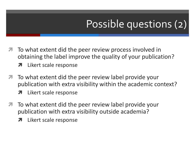#### Possible questions (2)

- **The To what extent did the peer review process involved in** obtaining the label improve the quality of your publication?
	- **7** Likert scale response
- **T** To what extent did the peer review label provide your publication with extra visibility within the academic context?
	- **7** Likert scale response
- **The To what extent did the peer review label provide your** publication with extra visibility outside academia?
	- **7** Likert scale response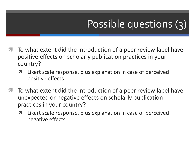### Possible questions (3)

- **The To what extent did the introduction of a peer review label have** positive effects on scholarly publication practices in your country?
	- **7** Likert scale response, plus explanation in case of perceived positive effects
- To what extent did the introduction of a peer review label have unexpected or negative effects on scholarly publication practices in your country?
	- **7** Likert scale response, plus explanation in case of perceived negative effects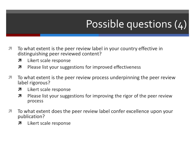### Possible questions (4)

- To what extent is the peer review label in your country effective in distinguishing peer reviewed content?
	- **7** Likert scale response
	- **7** Please list your suggestions for improved effectiveness
- $\blacktriangledown$  To what extent is the peer review process underpinning the peer review label rigorous?
	- **7** Likert scale response
	- $\lambda$  Please list your suggestions for improving the rigor of the peer review process
- $\blacktriangledown$  To what extent does the peer review label confer excellence upon your publication?
	- **7** Likert scale response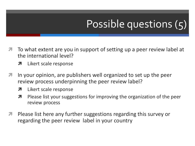### Possible questions (5)

- **The** To what extent are you in support of setting up a peer review label at the international level?
	- **7** Likert scale response
- **I** In your opinion, are publishers well organized to set up the peer review process underpinning the peer review label?
	- **7** Likert scale response
	- **7** Please list your suggestions for improving the organization of the peer review process
- **A** Please list here any further suggestions regarding this survey or regarding the peer review label in your country